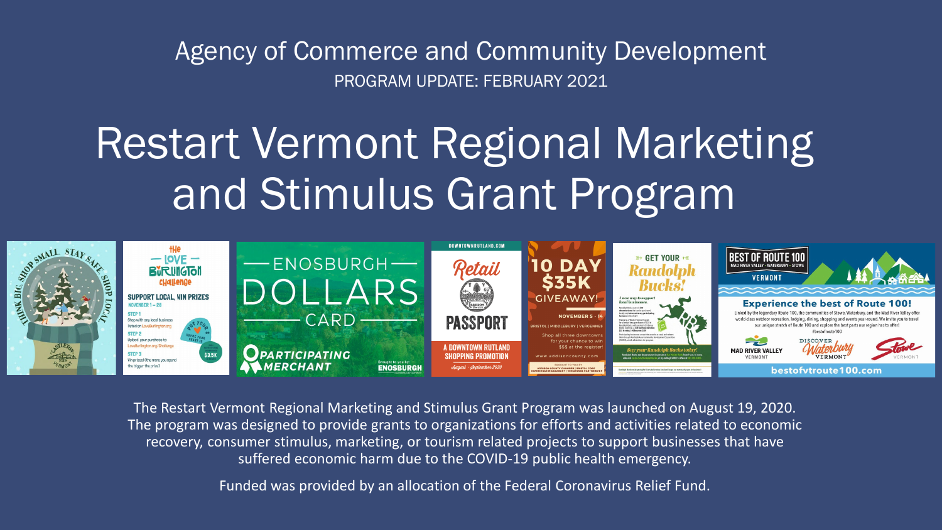Agency of Commerce and Community Development PROGRAM UPDATE: FEBRUARY 2021

# Restart Vermont Regional Marketing and Stimulus Grant Program



The Restart Vermont Regional Marketing and Stimulus Grant Program was launched on August 19, 2020. The program was designed to provide grants to organizations for efforts and activities related to economic recovery, consumer stimulus, marketing, or tourism related projects to support businesses that have suffered economic harm due to the COVID-19 public health emergency.

Funded was provided by an allocation of the Federal Coronavirus Relief Fund.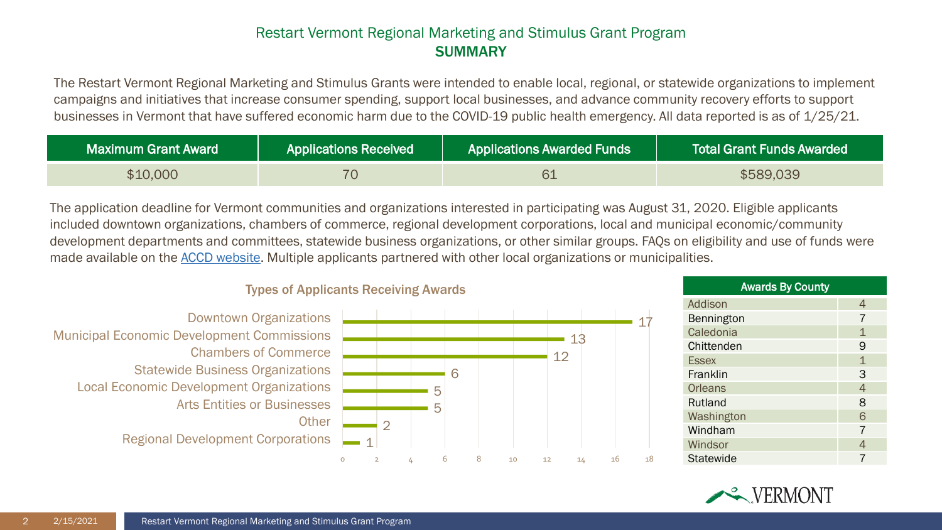#### Restart Vermont Regional Marketing and Stimulus Grant Program SUMMARY

The Restart Vermont Regional Marketing and Stimulus Grants were intended to enable local, regional, or statewide organizations to implement campaigns and initiatives that increase consumer spending, support local businesses, and advance community recovery efforts to support businesses in Vermont that have suffered economic harm due to the COVID-19 public health emergency. All data reported is as of 1/25/21.

| Maximum Grant Award | Applications Received | <b>Applications Awarded Funds</b> | <b>Total Grant Funds Awarded</b> |
|---------------------|-----------------------|-----------------------------------|----------------------------------|
|                     |                       |                                   | S589.                            |

Buy Local Vermont The application deadline for Vermont communities and organizations interested in participating was August 31, 2020. Eligible applicants made available on the <u>ACCD website</u>. Multiple applicants partnered with other local organizations or municipalities.<br>Tunes of Applicants Pessiving Awards included downtown organizations, chambers of commerce, regional development corporations, local and municipal economic/community development departments and committees, statewide business organizations, or other similar groups. FAQs on eligibility and use of funds were



#### **Types of Applicants Receiving Awards**

| <b>Awards By County</b> |                |  |
|-------------------------|----------------|--|
| Addison                 | 4              |  |
| Bennington              | 7              |  |
| Caledonia               | $\mathbf 1$    |  |
| Chittenden              | 9              |  |
| <b>Essex</b>            | $\mathbf{1}$   |  |
| Franklin                | 3              |  |
| <b>Orleans</b>          | $\overline{4}$ |  |
| Rutland                 | 8              |  |
| Washington              | 6              |  |
| Windham                 | $\overline{7}$ |  |
| Windsor                 | 4              |  |
| Statewide               | 7              |  |

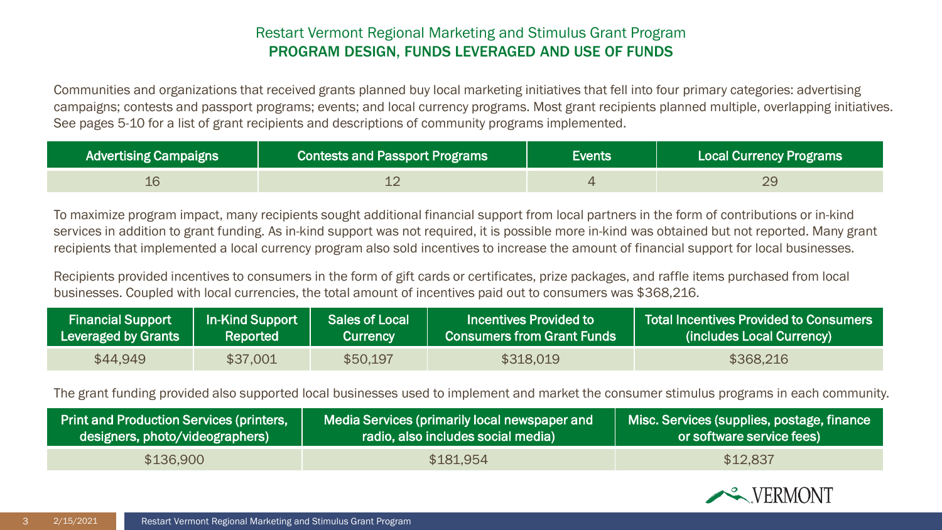# Restart Vermont Regional Marketing and Stimulus Grant Program PROGRAM DESIGN, FUNDS LEVERAGED AND USE OF FUNDS

Communities and organizations that received grants planned buy local marketing initiatives that fell into four primary categories: advertising campaigns; contests and passport programs; events; and local currency programs. Most grant recipients planned multiple, overlapping initiatives. See pages 5-10 for a list of grant recipients and descriptions of community programs implemented.

| <b>Advertising Campaigns</b> | <b>Contests and Passport Programs</b> | Events | Local Currency Programs |
|------------------------------|---------------------------------------|--------|-------------------------|
|                              | --                                    |        | 29                      |

To maximize program impact, many recipients sought additional financial support from local partners in the form of contributions or in-kind services in addition to grant funding. As in-kind support was not required, it is possible more in-kind was obtained but not reported. Many grant recipients that implemented a local currency program also sold incentives to increase the amount of financial support for local businesses.

Recipients provided incentives to consumers in the form of gift cards or certificates, prize packages, and raffle items purchased from local businesses. Coupled with local currencies, the total amount of incentives paid out to consumers was \$368,216.

| <b>Financial Support</b> | In-Kind Support | <b>Sales of Local \</b> | Incentives Provided to       | <b>Total Incentives Provided to Consumers</b> |
|--------------------------|-----------------|-------------------------|------------------------------|-----------------------------------------------|
| Leveraged by Grants      | Reported        | /Currency               | Consumers from Grant Funds \ | (includes Local Currency)                     |
| \$44,949                 | \$37,001        | \$50,197                | \$318,019                    | \$368,216                                     |

The grant funding provided also supported local businesses used to implement and market the consumer stimulus programs in each community.

| <b>Print and Production Services (printers,</b> | Media Services (primarily local newspaper and | Misc. Services (supplies, postage, finance |
|-------------------------------------------------|-----------------------------------------------|--------------------------------------------|
| designers, photo/videographers)                 | radio, also includes social media)            | or software service fees)                  |
| \$136,900                                       | \$181,954                                     | \$12,837                                   |

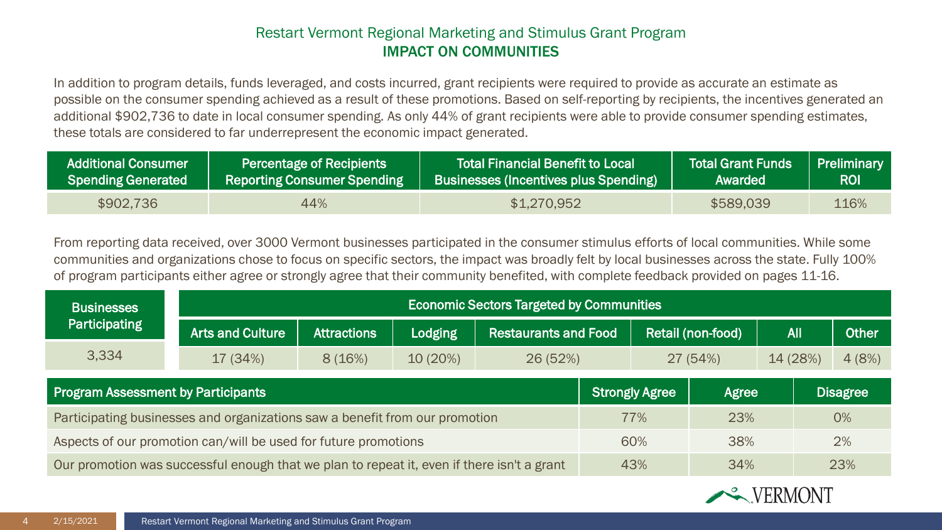# Restart Vermont Regional Marketing and Stimulus Grant Program IMPACT ON COMMUNITIES

In addition to program details, funds leveraged, and costs incurred, grant recipients were required to provide as accurate an estimate as possible on the consumer spending achieved as a result of these promotions. Based on self-reporting by recipients, the incentives generated an additional \$902,736 to date in local consumer spending. As only 44% of grant recipients were able to provide consumer spending estimates, these totals are considered to far underrepresent the economic impact generated.

| Additional Consumer       | <b>Percentage of Recipients</b> | l Total Financial Benefit to Local l         | <b>Total Grant Funds</b> | Preliminary |
|---------------------------|---------------------------------|----------------------------------------------|--------------------------|-------------|
| <b>Spending Generated</b> | Reporting Consumer Spending     | <b>Businesses (Incentives plus Spending)</b> | Awarded                  | <b>ROI</b>  |
| \$902,736                 | 44%                             | \$1,270,952                                  | \$589,039                | 116%        |

From reporting data received, over 3000 Vermont businesses participated in the consumer stimulus efforts of local communities. While some communities and organizations chose to focus on specific sectors, the impact was broadly felt by local businesses across the state. Fully 100% of program participants either agree or strongly agree that their community benefited, with complete feedback provided on pages 11-16.

| <b>Businesses</b>                                                                          |                         | <b>Economic Sectors Targeted by Communities</b>                                                 |         |         |                       |       |          |              |                 |       |
|--------------------------------------------------------------------------------------------|-------------------------|-------------------------------------------------------------------------------------------------|---------|---------|-----------------------|-------|----------|--------------|-----------------|-------|
| Participating                                                                              | <b>Arts and Culture</b> | Retail (non-food)<br><b>Attractions</b><br><b>Restaurants and Food</b><br><b>Lodging</b><br>All |         |         |                       |       |          | <b>Other</b> |                 |       |
| 3,334                                                                                      | 17 (34%)                | 8(16%)                                                                                          | 10(20%) | 26(52%) |                       |       | 27 (54%) | 14 (28%)     |                 | 4(8%) |
| <b>Program Assessment by Participants</b>                                                  |                         |                                                                                                 |         |         | <b>Strongly Agree</b> | Agree |          |              | <b>Disagree</b> |       |
| Participating businesses and organizations saw a benefit from our promotion<br>77%<br>23%  |                         |                                                                                                 |         |         | 0%                    |       |          |              |                 |       |
| Aspects of our promotion can/will be used for future promotions<br>38%<br>60%              |                         |                                                                                                 |         | 2%      |                       |       |          |              |                 |       |
| Our promotion was successful enough that we plan to repeat it, even if there isn't a grant |                         |                                                                                                 |         | 43%     | 34%                   |       |          | 23%          |                 |       |

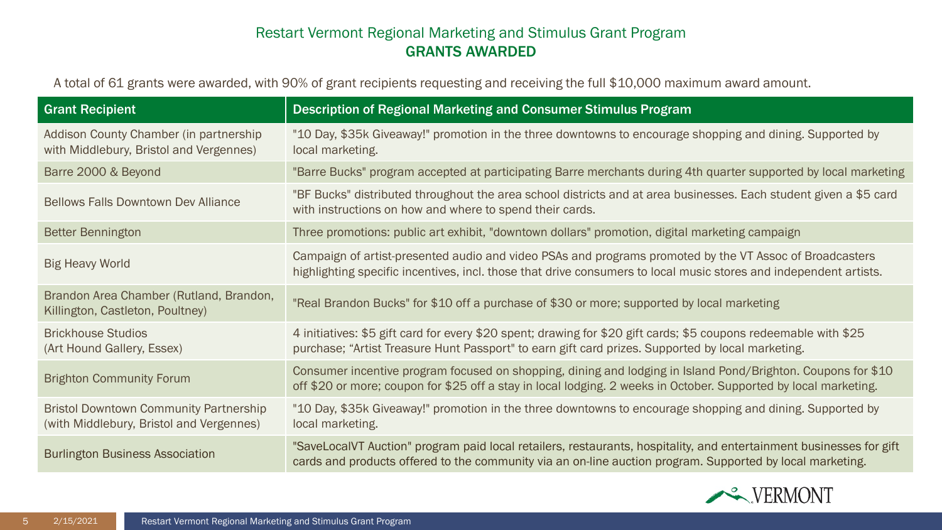| <b>Grant Recipient</b>                                                                    | Description of Regional Marketing and Consumer Stimulus Program                                                                                                                                                                  |
|-------------------------------------------------------------------------------------------|----------------------------------------------------------------------------------------------------------------------------------------------------------------------------------------------------------------------------------|
| Addison County Chamber (in partnership<br>with Middlebury, Bristol and Vergennes)         | "10 Day, \$35k Giveaway!" promotion in the three downtowns to encourage shopping and dining. Supported by<br>local marketing.                                                                                                    |
| Barre 2000 & Beyond                                                                       | "Barre Bucks" program accepted at participating Barre merchants during 4th quarter supported by local marketing                                                                                                                  |
| <b>Bellows Falls Downtown Dev Alliance</b>                                                | "BF Bucks" distributed throughout the area school districts and at area businesses. Each student given a \$5 card<br>with instructions on how and where to spend their cards.                                                    |
| <b>Better Bennington</b>                                                                  | Three promotions: public art exhibit, "downtown dollars" promotion, digital marketing campaign                                                                                                                                   |
| <b>Big Heavy World</b>                                                                    | Campaign of artist-presented audio and video PSAs and programs promoted by the VT Assoc of Broadcasters<br>highlighting specific incentives, incl. those that drive consumers to local music stores and independent artists.     |
| Brandon Area Chamber (Rutland, Brandon,<br>Killington, Castleton, Poultney)               | "Real Brandon Bucks" for \$10 off a purchase of \$30 or more; supported by local marketing                                                                                                                                       |
| <b>Brickhouse Studios</b><br>(Art Hound Gallery, Essex)                                   | 4 initiatives: \$5 gift card for every \$20 spent; drawing for \$20 gift cards; \$5 coupons redeemable with \$25<br>purchase; "Artist Treasure Hunt Passport" to earn gift card prizes. Supported by local marketing.            |
| <b>Brighton Community Forum</b>                                                           | Consumer incentive program focused on shopping, dining and lodging in Island Pond/Brighton. Coupons for \$10<br>off \$20 or more; coupon for \$25 off a stay in local lodging. 2 weeks in October. Supported by local marketing. |
| <b>Bristol Downtown Community Partnership</b><br>(with Middlebury, Bristol and Vergennes) | "10 Day, \$35k Giveaway!" promotion in the three downtowns to encourage shopping and dining. Supported by<br>local marketing.                                                                                                    |
| <b>Burlington Business Association</b>                                                    | "SaveLocaIVT Auction" program paid local retailers, restaurants, hospitality, and entertainment businesses for gift<br>cards and products offered to the community via an on-line auction program. Supported by local marketing. |

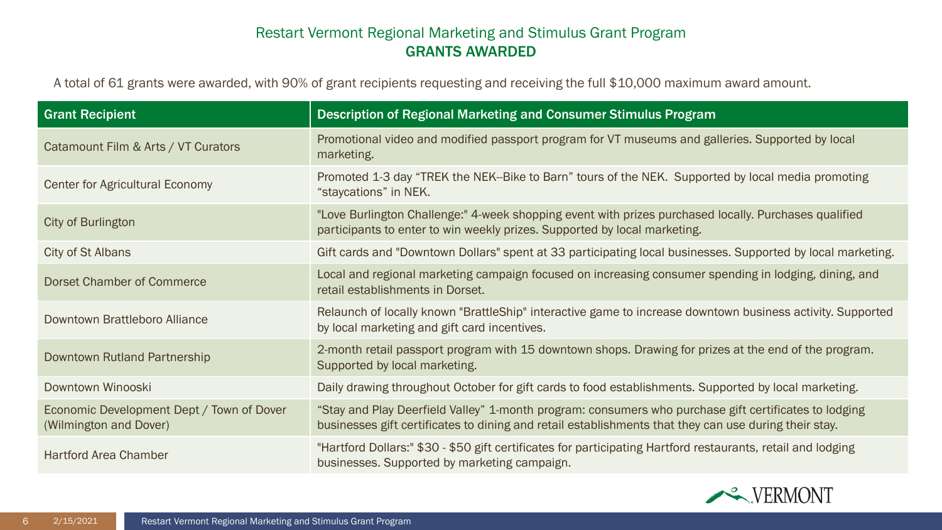| <b>Grant Recipient</b>                                              | Description of Regional Marketing and Consumer Stimulus Program                                                                                                                                                |
|---------------------------------------------------------------------|----------------------------------------------------------------------------------------------------------------------------------------------------------------------------------------------------------------|
| Catamount Film & Arts / VT Curators                                 | Promotional video and modified passport program for VT museums and galleries. Supported by local<br>marketing.                                                                                                 |
| <b>Center for Agricultural Economy</b>                              | Promoted 1-3 day "TREK the NEK--Bike to Barn" tours of the NEK. Supported by local media promoting<br>"staycations" in NEK.                                                                                    |
| City of Burlington                                                  | "Love Burlington Challenge:" 4-week shopping event with prizes purchased locally. Purchases qualified<br>participants to enter to win weekly prizes. Supported by local marketing.                             |
| City of St Albans                                                   | Gift cards and "Downtown Dollars" spent at 33 participating local businesses. Supported by local marketing.                                                                                                    |
| <b>Dorset Chamber of Commerce</b>                                   | Local and regional marketing campaign focused on increasing consumer spending in lodging, dining, and<br>retail establishments in Dorset.                                                                      |
| Downtown Brattleboro Alliance                                       | Relaunch of locally known "BrattleShip" interactive game to increase downtown business activity. Supported<br>by local marketing and gift card incentives.                                                     |
| Downtown Rutland Partnership                                        | 2-month retail passport program with 15 downtown shops. Drawing for prizes at the end of the program.<br>Supported by local marketing.                                                                         |
| Downtown Winooski                                                   | Daily drawing throughout October for gift cards to food establishments. Supported by local marketing.                                                                                                          |
| Economic Development Dept / Town of Dover<br>(Wilmington and Dover) | "Stay and Play Deerfield Valley" 1-month program: consumers who purchase gift certificates to lodging<br>businesses gift certificates to dining and retail establishments that they can use during their stay. |
| <b>Hartford Area Chamber</b>                                        | "Hartford Dollars:" \$30 - \$50 gift certificates for participating Hartford restaurants, retail and lodging<br>businesses. Supported by marketing campaign.                                                   |

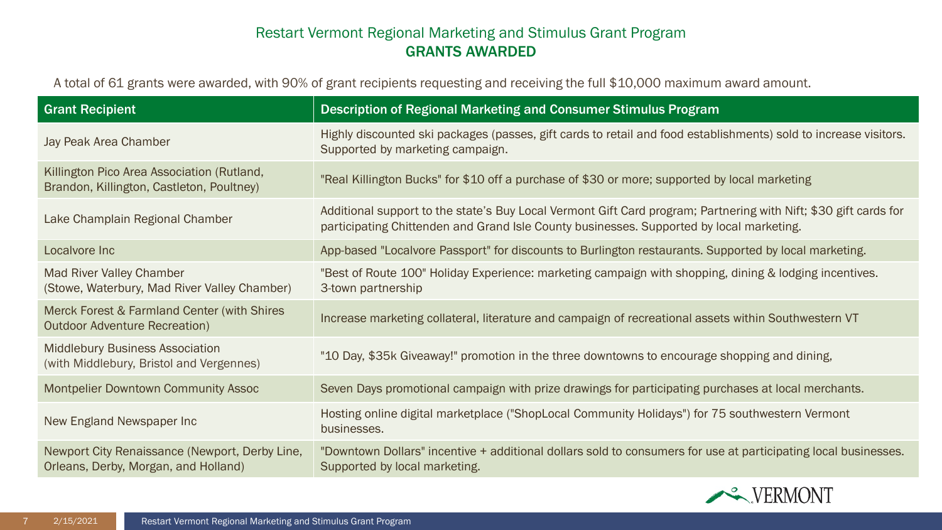| <b>Grant Recipient</b>                                                                  | Description of Regional Marketing and Consumer Stimulus Program                                                                                                                                              |
|-----------------------------------------------------------------------------------------|--------------------------------------------------------------------------------------------------------------------------------------------------------------------------------------------------------------|
| Jay Peak Area Chamber                                                                   | Highly discounted ski packages (passes, gift cards to retail and food establishments) sold to increase visitors.<br>Supported by marketing campaign.                                                         |
| Killington Pico Area Association (Rutland,<br>Brandon, Killington, Castleton, Poultney) | "Real Killington Bucks" for \$10 off a purchase of \$30 or more; supported by local marketing                                                                                                                |
| Lake Champlain Regional Chamber                                                         | Additional support to the state's Buy Local Vermont Gift Card program; Partnering with Nift; \$30 gift cards for<br>participating Chittenden and Grand Isle County businesses. Supported by local marketing. |
| Localvore Inc                                                                           | App-based "Localvore Passport" for discounts to Burlington restaurants. Supported by local marketing.                                                                                                        |
| Mad River Valley Chamber<br>(Stowe, Waterbury, Mad River Valley Chamber)                | "Best of Route 100" Holiday Experience: marketing campaign with shopping, dining & lodging incentives.<br>3-town partnership                                                                                 |
| Merck Forest & Farmland Center (with Shires<br><b>Outdoor Adventure Recreation)</b>     | Increase marketing collateral, literature and campaign of recreational assets within Southwestern VT                                                                                                         |
| <b>Middlebury Business Association</b><br>(with Middlebury, Bristol and Vergennes)      | "10 Day, \$35k Giveaway!" promotion in the three downtowns to encourage shopping and dining,                                                                                                                 |
| Montpelier Downtown Community Assoc                                                     | Seven Days promotional campaign with prize drawings for participating purchases at local merchants.                                                                                                          |
| New England Newspaper Inc                                                               | Hosting online digital marketplace ("ShopLocal Community Holidays") for 75 southwestern Vermont<br>businesses.                                                                                               |
| Newport City Renaissance (Newport, Derby Line,<br>Orleans, Derby, Morgan, and Holland)  | "Downtown Dollars" incentive + additional dollars sold to consumers for use at participating local businesses.<br>Supported by local marketing.                                                              |

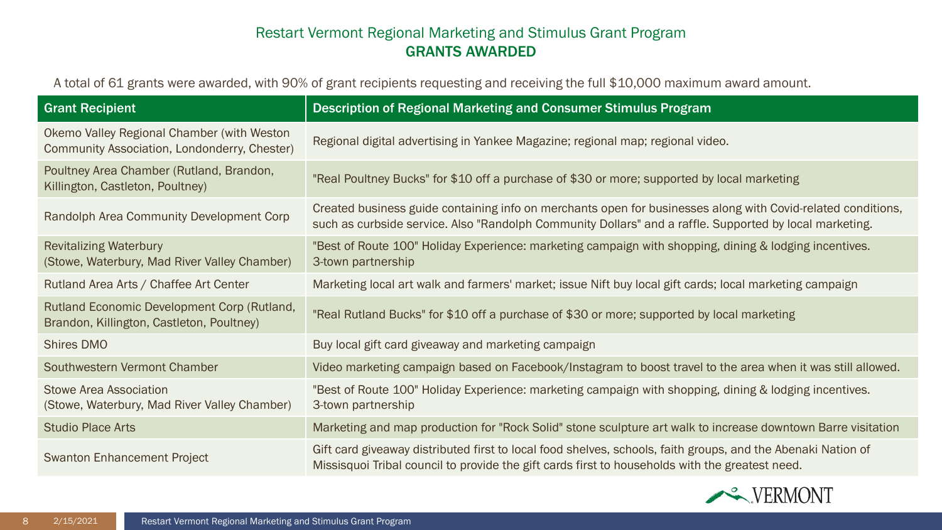| <b>Grant Recipient</b>                                                                     | Description of Regional Marketing and Consumer Stimulus Program                                                                                                                                                         |
|--------------------------------------------------------------------------------------------|-------------------------------------------------------------------------------------------------------------------------------------------------------------------------------------------------------------------------|
| Okemo Valley Regional Chamber (with Weston<br>Community Association, Londonderry, Chester) | Regional digital advertising in Yankee Magazine; regional map; regional video.                                                                                                                                          |
| Poultney Area Chamber (Rutland, Brandon,<br>Killington, Castleton, Poultney)               | "Real Poultney Bucks" for \$10 off a purchase of \$30 or more; supported by local marketing                                                                                                                             |
| Randolph Area Community Development Corp                                                   | Created business guide containing info on merchants open for businesses along with Covid-related conditions,<br>such as curbside service. Also "Randolph Community Dollars" and a raffle. Supported by local marketing. |
| <b>Revitalizing Waterbury</b><br>(Stowe, Waterbury, Mad River Valley Chamber)              | "Best of Route 100" Holiday Experience: marketing campaign with shopping, dining & lodging incentives.<br>3-town partnership                                                                                            |
| Rutland Area Arts / Chaffee Art Center                                                     | Marketing local art walk and farmers' market; issue Nift buy local gift cards; local marketing campaign                                                                                                                 |
| Rutland Economic Development Corp (Rutland,<br>Brandon, Killington, Castleton, Poultney)   | "Real Rutland Bucks" for \$10 off a purchase of \$30 or more; supported by local marketing                                                                                                                              |
| <b>Shires DMO</b>                                                                          | Buy local gift card giveaway and marketing campaign                                                                                                                                                                     |
| Southwestern Vermont Chamber                                                               | Video marketing campaign based on Facebook/Instagram to boost travel to the area when it was still allowed.                                                                                                             |
| Stowe Area Association<br>(Stowe, Waterbury, Mad River Valley Chamber)                     | "Best of Route 100" Holiday Experience: marketing campaign with shopping, dining & lodging incentives.<br>3-town partnership                                                                                            |
| <b>Studio Place Arts</b>                                                                   | Marketing and map production for "Rock Solid" stone sculpture art walk to increase downtown Barre visitation                                                                                                            |
| <b>Swanton Enhancement Project</b>                                                         | Gift card giveaway distributed first to local food shelves, schools, faith groups, and the Abenaki Nation of<br>Missisquoi Tribal council to provide the gift cards first to households with the greatest need.         |

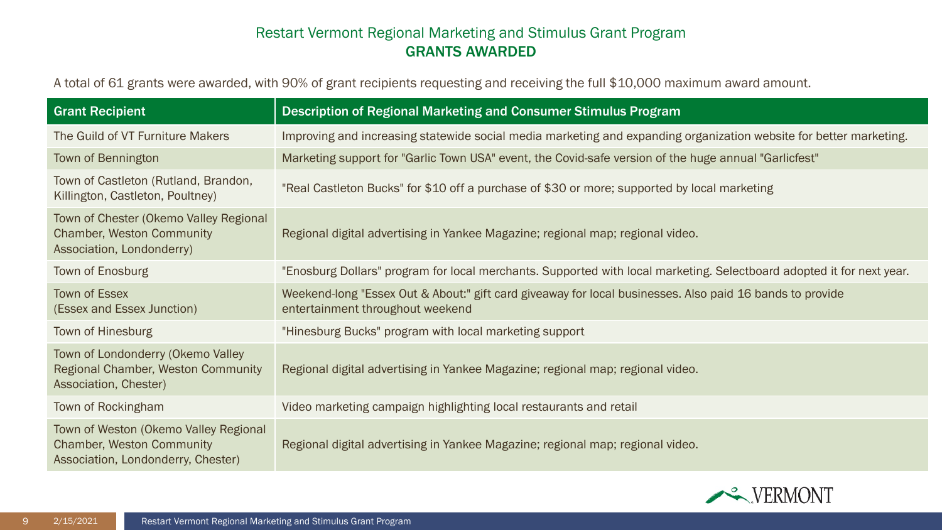| <b>Grant Recipient</b>                                                                                          | Description of Regional Marketing and Consumer Stimulus Program                                                                              |
|-----------------------------------------------------------------------------------------------------------------|----------------------------------------------------------------------------------------------------------------------------------------------|
| The Guild of VT Furniture Makers                                                                                | Improving and increasing statewide social media marketing and expanding organization website for better marketing.                           |
| Town of Bennington                                                                                              | Marketing support for "Garlic Town USA" event, the Covid-safe version of the huge annual "Garlicfest"                                        |
| Town of Castleton (Rutland, Brandon,<br>Killington, Castleton, Poultney)                                        | "Real Castleton Bucks" for \$10 off a purchase of \$30 or more; supported by local marketing                                                 |
| Town of Chester (Okemo Valley Regional<br><b>Chamber, Weston Community</b><br>Association, Londonderry)         | Regional digital advertising in Yankee Magazine; regional map; regional video.                                                               |
| Town of Enosburg                                                                                                | "Enosburg Dollars" program for local merchants. Supported with local marketing. Selectboard adopted it for next year.                        |
| <b>Town of Essex</b><br>(Essex and Essex Junction)                                                              | Weekend-long "Essex Out & About:" gift card giveaway for local businesses. Also paid 16 bands to provide<br>entertainment throughout weekend |
| Town of Hinesburg                                                                                               | "Hinesburg Bucks" program with local marketing support                                                                                       |
| Town of Londonderry (Okemo Valley<br>Regional Chamber, Weston Community<br>Association, Chester)                | Regional digital advertising in Yankee Magazine; regional map; regional video.                                                               |
| Town of Rockingham                                                                                              | Video marketing campaign highlighting local restaurants and retail                                                                           |
| Town of Weston (Okemo Valley Regional<br><b>Chamber, Weston Community</b><br>Association, Londonderry, Chester) | Regional digital advertising in Yankee Magazine; regional map; regional video.                                                               |

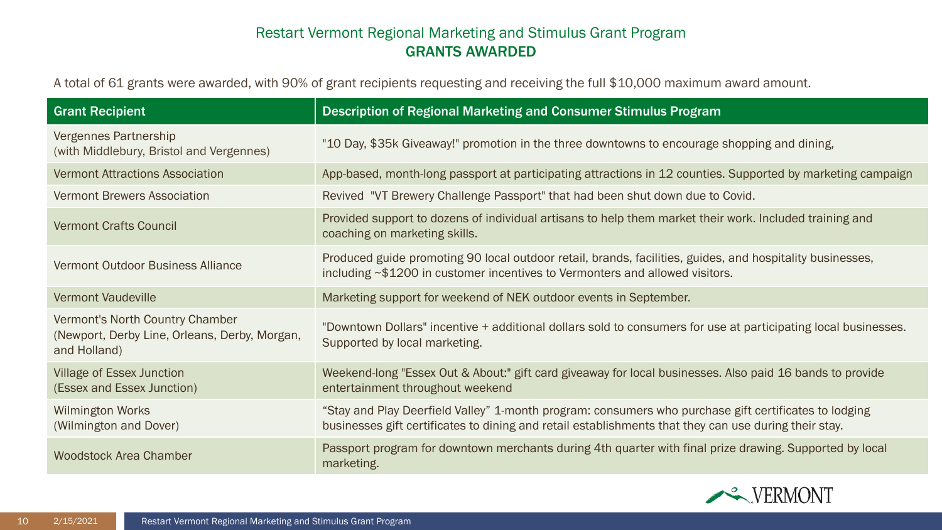| <b>Grant Recipient</b>                                                                           | Description of Regional Marketing and Consumer Stimulus Program                                                                                                                                                |
|--------------------------------------------------------------------------------------------------|----------------------------------------------------------------------------------------------------------------------------------------------------------------------------------------------------------------|
| Vergennes Partnership<br>(with Middlebury, Bristol and Vergennes)                                | "10 Day, \$35k Giveaway!" promotion in the three downtowns to encourage shopping and dining,                                                                                                                   |
| <b>Vermont Attractions Association</b>                                                           | App-based, month-long passport at participating attractions in 12 counties. Supported by marketing campaign                                                                                                    |
| <b>Vermont Brewers Association</b>                                                               | Revived "VT Brewery Challenge Passport" that had been shut down due to Covid.                                                                                                                                  |
| <b>Vermont Crafts Council</b>                                                                    | Provided support to dozens of individual artisans to help them market their work. Included training and<br>coaching on marketing skills.                                                                       |
| Vermont Outdoor Business Alliance                                                                | Produced guide promoting 90 local outdoor retail, brands, facilities, guides, and hospitality businesses,<br>including $\sim$ \$1200 in customer incentives to Vermonters and allowed visitors.                |
| <b>Vermont Vaudeville</b>                                                                        | Marketing support for weekend of NEK outdoor events in September.                                                                                                                                              |
| Vermont's North Country Chamber<br>(Newport, Derby Line, Orleans, Derby, Morgan,<br>and Holland) | "Downtown Dollars" incentive + additional dollars sold to consumers for use at participating local businesses.<br>Supported by local marketing.                                                                |
| <b>Village of Essex Junction</b><br>(Essex and Essex Junction)                                   | Weekend-long "Essex Out & About:" gift card giveaway for local businesses. Also paid 16 bands to provide<br>entertainment throughout weekend                                                                   |
| <b>Wilmington Works</b><br>(Wilmington and Dover)                                                | "Stay and Play Deerfield Valley" 1-month program: consumers who purchase gift certificates to lodging<br>businesses gift certificates to dining and retail establishments that they can use during their stay. |
| <b>Woodstock Area Chamber</b>                                                                    | Passport program for downtown merchants during 4th quarter with final prize drawing. Supported by local<br>marketing.                                                                                          |

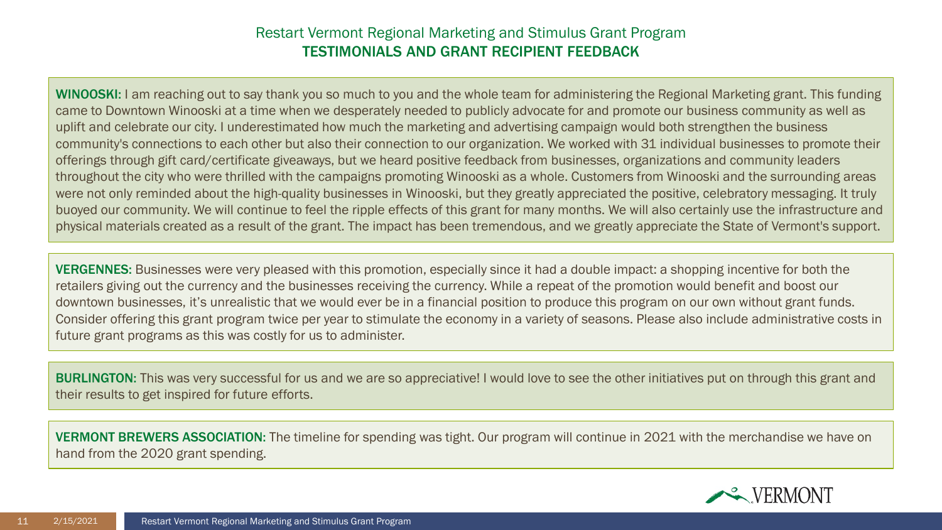WINOOSKI: I am reaching out to say thank you so much to you and the whole team for administering the Regional Marketing grant. This funding came to Downtown Winooski at a time when we desperately needed to publicly advocate for and promote our business community as well as uplift and celebrate our city. I underestimated how much the marketing and advertising campaign would both strengthen the business community's connections to each other but also their connection to our organization. We worked with 31 individual businesses to promote their offerings through gift card/certificate giveaways, but we heard positive feedback from businesses, organizations and community leaders throughout the city who were thrilled with the campaigns promoting Winooski as a whole. Customers from Winooski and the surrounding areas were not only reminded about the high-quality businesses in Winooski, but they greatly appreciated the positive, celebratory messaging. It truly buoyed our community. We will continue to feel the ripple effects of this grant for many months. We will also certainly use the infrastructure and physical materials created as a result of the grant. The impact has been tremendous, and we greatly appreciate the State of Vermont's support.

VERGENNES: Businesses were very pleased with this promotion, especially since it had a double impact: a shopping incentive for both the retailers giving out the currency and the businesses receiving the currency. While a repeat of the promotion would benefit and boost our downtown businesses, it's unrealistic that we would ever be in a financial position to produce this program on our own without grant funds. Consider offering this grant program twice per year to stimulate the economy in a variety of seasons. Please also include administrative costs in future grant programs as this was costly for us to administer.

**BURLINGTON:** This was very successful for us and we are so appreciative! I would love to see the other initiatives put on through this grant and their results to get inspired for future efforts.

VERMONT BREWERS ASSOCIATION: The timeline for spending was tight. Our program will continue in 2021 with the merchandise we have on hand from the 2020 grant spending.

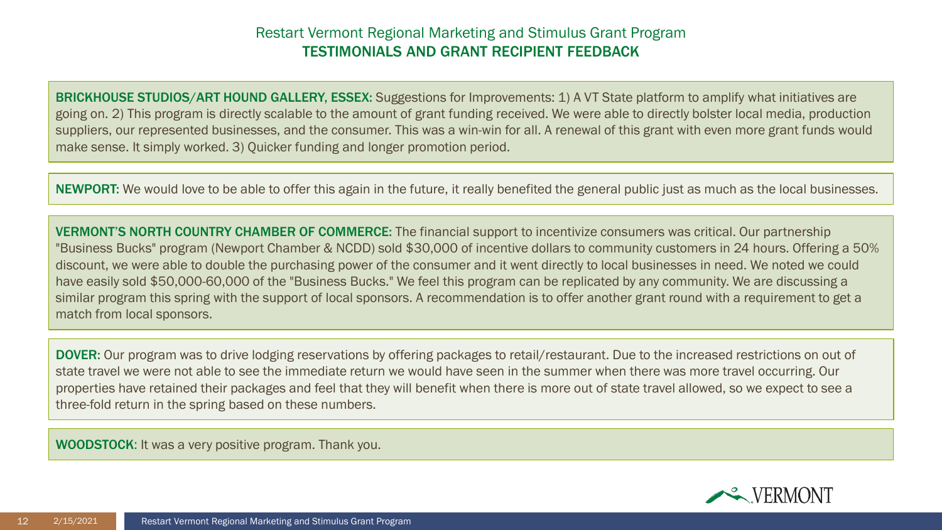BRICKHOUSE STUDIOS/ART HOUND GALLERY, ESSEX: Suggestions for Improvements: 1) A VT State platform to amplify what initiatives are going on. 2) This program is directly scalable to the amount of grant funding received. We were able to directly bolster local media, production suppliers, our represented businesses, and the consumer. This was a win-win for all. A renewal of this grant with even more grant funds would make sense. It simply worked. 3) Quicker funding and longer promotion period.

NEWPORT: We would love to be able to offer this again in the future, it really benefited the general public just as much as the local businesses.

VERMONT'S NORTH COUNTRY CHAMBER OF COMMERCE: The financial support to incentivize consumers was critical. Our partnership "Business Bucks" program (Newport Chamber & NCDD) sold \$30,000 of incentive dollars to community customers in 24 hours. Offering a 50% discount, we were able to double the purchasing power of the consumer and it went directly to local businesses in need. We noted we could have easily sold \$50,000-60,000 of the "Business Bucks." We feel this program can be replicated by any community. We are discussing a similar program this spring with the support of local sponsors. A recommendation is to offer another grant round with a requirement to get a match from local sponsors.

DOVER: Our program was to drive lodging reservations by offering packages to retail/restaurant. Due to the increased restrictions on out of state travel we were not able to see the immediate return we would have seen in the summer when there was more travel occurring. Our properties have retained their packages and feel that they will benefit when there is more out of state travel allowed, so we expect to see a three-fold return in the spring based on these numbers.

WOODSTOCK: It was a very positive program. Thank you.

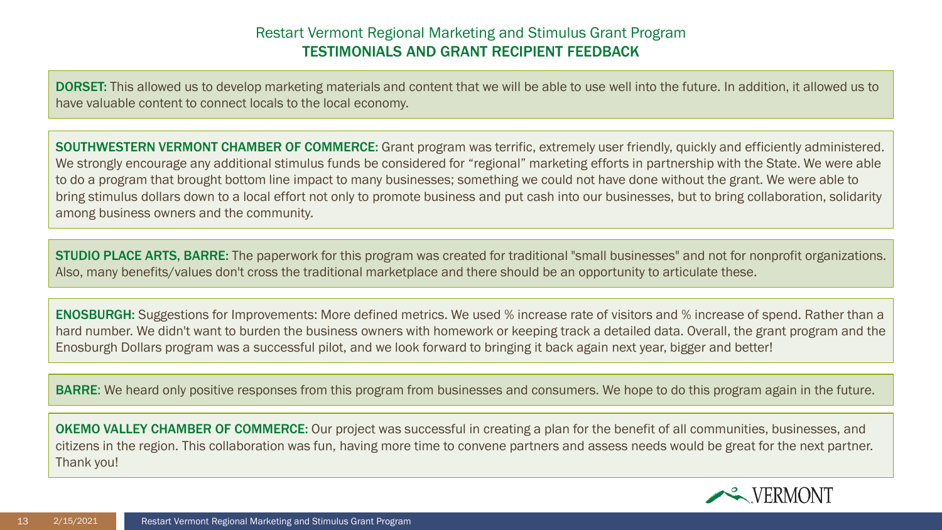DORSET: This allowed us to develop marketing materials and content that we will be able to use well into the future. In addition, it allowed us to have valuable content to connect locals to the local economy.

SOUTHWESTERN VERMONT CHAMBER OF COMMERCE: Grant program was terrific, extremely user friendly, quickly and efficiently administered. We strongly encourage any additional stimulus funds be considered for "regional" marketing efforts in partnership with the State. We were able to do a program that brought bottom line impact to many businesses; something we could not have done without the grant. We were able to bring stimulus dollars down to a local effort not only to promote business and put cash into our businesses, but to bring collaboration, solidarity among business owners and the community.

STUDIO PLACE ARTS, BARRE: The paperwork for this program was created for traditional "small businesses" and not for nonprofit organizations. Also, many benefits/values don't cross the traditional marketplace and there should be an opportunity to articulate these.

ENOSBURGH: Suggestions for Improvements: More defined metrics. We used % increase rate of visitors and % increase of spend. Rather than a hard number. We didn't want to burden the business owners with homework or keeping track a detailed data. Overall, the grant program and the Enosburgh Dollars program was a successful pilot, and we look forward to bringing it back again next year, bigger and better!

BARRE: We heard only positive responses from this program from businesses and consumers. We hope to do this program again in the future.

OKEMO VALLEY CHAMBER OF COMMERCE: Our project was successful in creating a plan for the benefit of all communities, businesses, and citizens in the region. This collaboration was fun, having more time to convene partners and assess needs would be great for the next partner. Thank you!

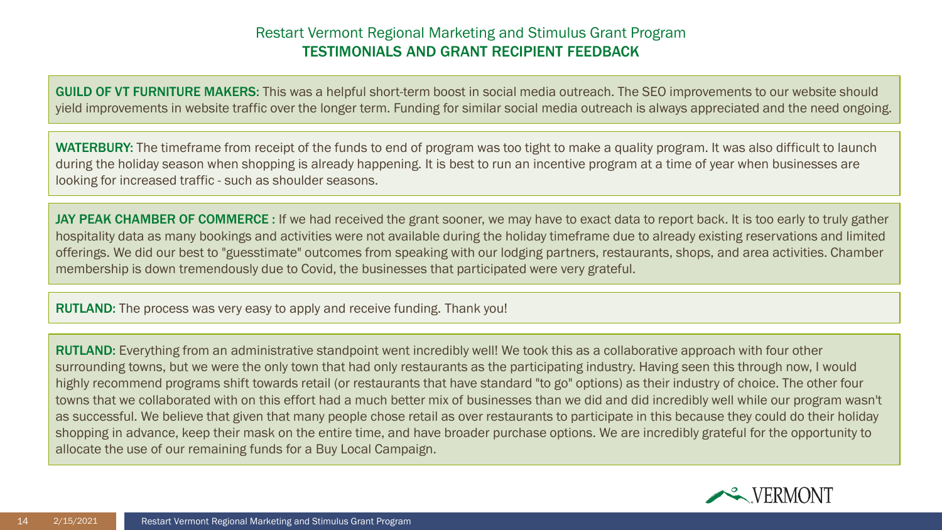GUILD OF VT FURNITURE MAKERS: This was a helpful short-term boost in social media outreach. The SEO improvements to our website should yield improvements in website traffic over the longer term. Funding for similar social media outreach is always appreciated and the need ongoing.

WATERBURY: The timeframe from receipt of the funds to end of program was too tight to make a quality program. It was also difficult to launch during the holiday season when shopping is already happening. It is best to run an incentive program at a time of year when businesses are looking for increased traffic - such as shoulder seasons.

JAY PEAK CHAMBER OF COMMERCE : If we had received the grant sooner, we may have to exact data to report back. It is too early to truly gather hospitality data as many bookings and activities were not available during the holiday timeframe due to already existing reservations and limited offerings. We did our best to "guesstimate" outcomes from speaking with our lodging partners, restaurants, shops, and area activities. Chamber membership is down tremendously due to Covid, the businesses that participated were very grateful.

RUTLAND: The process was very easy to apply and receive funding. Thank you!

RUTLAND: Everything from an administrative standpoint went incredibly well! We took this as a collaborative approach with four other surrounding towns, but we were the only town that had only restaurants as the participating industry. Having seen this through now, I would highly recommend programs shift towards retail (or restaurants that have standard "to go" options) as their industry of choice. The other four towns that we collaborated with on this effort had a much better mix of businesses than we did and did incredibly well while our program wasn't as successful. We believe that given that many people chose retail as over restaurants to participate in this because they could do their holiday shopping in advance, keep their mask on the entire time, and have broader purchase options. We are incredibly grateful for the opportunity to allocate the use of our remaining funds for a Buy Local Campaign.

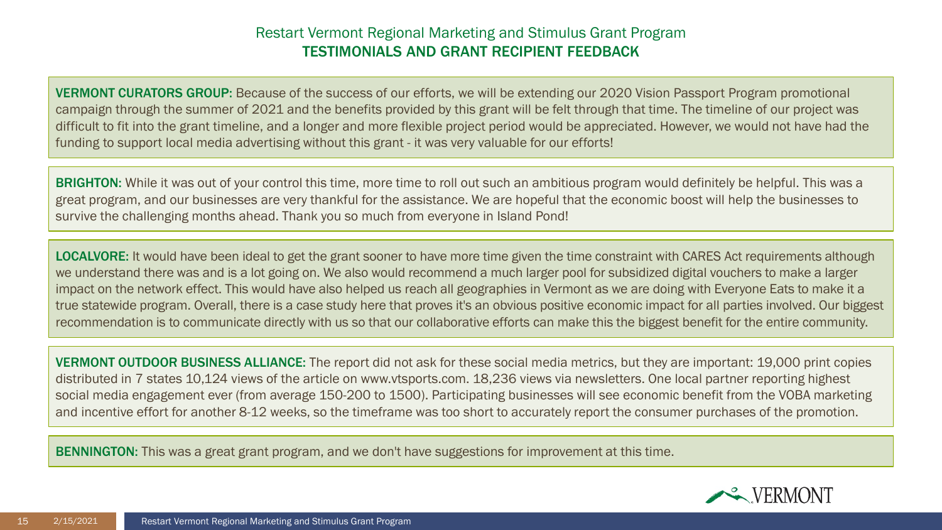VERMONT CURATORS GROUP: Because of the success of our efforts, we will be extending our 2020 Vision Passport Program promotional campaign through the summer of 2021 and the benefits provided by this grant will be felt through that time. The timeline of our project was difficult to fit into the grant timeline, and a longer and more flexible project period would be appreciated. However, we would not have had the funding to support local media advertising without this grant - it was very valuable for our efforts!

**BRIGHTON:** While it was out of your control this time, more time to roll out such an ambitious program would definitely be helpful. This was a great program, and our businesses are very thankful for the assistance. We are hopeful that the economic boost will help the businesses to survive the challenging months ahead. Thank you so much from everyone in Island Pond!

LOCALVORE: It would have been ideal to get the grant sooner to have more time given the time constraint with CARES Act requirements although we understand there was and is a lot going on. We also would recommend a much larger pool for subsidized digital vouchers to make a larger impact on the network effect. This would have also helped us reach all geographies in Vermont as we are doing with Everyone Eats to make it a true statewide program. Overall, there is a case study here that proves it's an obvious positive economic impact for all parties involved. Our biggest recommendation is to communicate directly with us so that our collaborative efforts can make this the biggest benefit for the entire community.

VERMONT OUTDOOR BUSINESS ALLIANCE: The report did not ask for these social media metrics, but they are important: 19,000 print copies distributed in 7 states 10,124 views of the article on www.vtsports.com. 18,236 views via newsletters. One local partner reporting highest social media engagement ever (from average 150-200 to 1500). Participating businesses will see economic benefit from the VOBA marketing and incentive effort for another 8-12 weeks, so the timeframe was too short to accurately report the consumer purchases of the promotion.

BENNINGTON: This was a great grant program, and we don't have suggestions for improvement at this time.